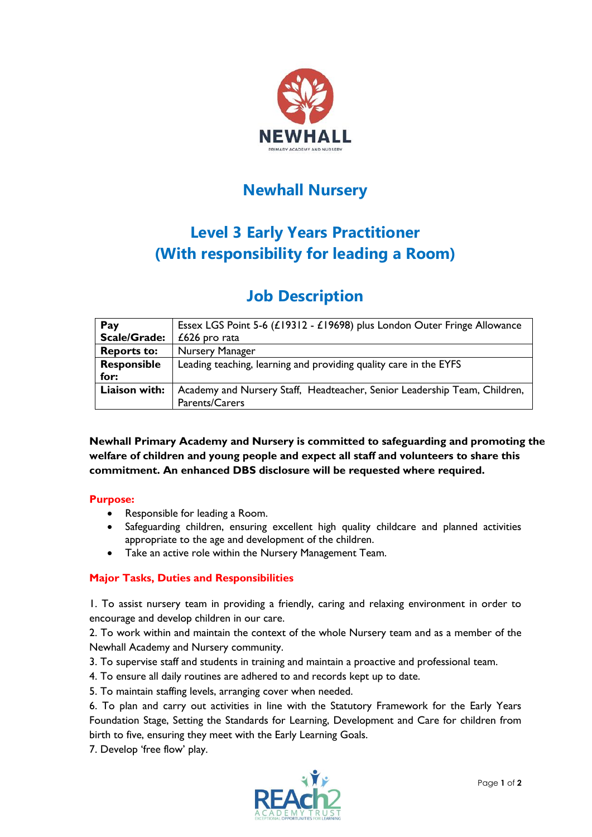

# **Newhall Nursery**

# **Level 3 Early Years Practitioner (With responsibility for leading a Room)**

# **Job Description**

| Pay                 | Essex LGS Point 5-6 (£19312 - £19698) plus London Outer Fringe Allowance  |
|---------------------|---------------------------------------------------------------------------|
| <b>Scale/Grade:</b> | $£626$ pro rata                                                           |
| <b>Reports to:</b>  | Nursery Manager                                                           |
| Responsible         | Leading teaching, learning and providing quality care in the EYFS         |
| for:                |                                                                           |
| Liaison with:       | Academy and Nursery Staff, Headteacher, Senior Leadership Team, Children, |
|                     | Parents/Carers                                                            |

**Newhall Primary Academy and Nursery is committed to safeguarding and promoting the welfare of children and young people and expect all staff and volunteers to share this commitment. An enhanced DBS disclosure will be requested where required.**

#### **Purpose:**

- Responsible for leading a Room.
- Safeguarding children, ensuring excellent high quality childcare and planned activities appropriate to the age and development of the children.
- Take an active role within the Nursery Management Team.

## **Major Tasks, Duties and Responsibilities**

1. To assist nursery team in providing a friendly, caring and relaxing environment in order to encourage and develop children in our care.

2. To work within and maintain the context of the whole Nursery team and as a member of the Newhall Academy and Nursery community.

- 3. To supervise staff and students in training and maintain a proactive and professional team.
- 4. To ensure all daily routines are adhered to and records kept up to date.
- 5. To maintain staffing levels, arranging cover when needed.

6. To plan and carry out activities in line with the Statutory Framework for the Early Years Foundation Stage, Setting the Standards for Learning, Development and Care for children from birth to five, ensuring they meet with the Early Learning Goals.

7. Develop 'free flow' play.